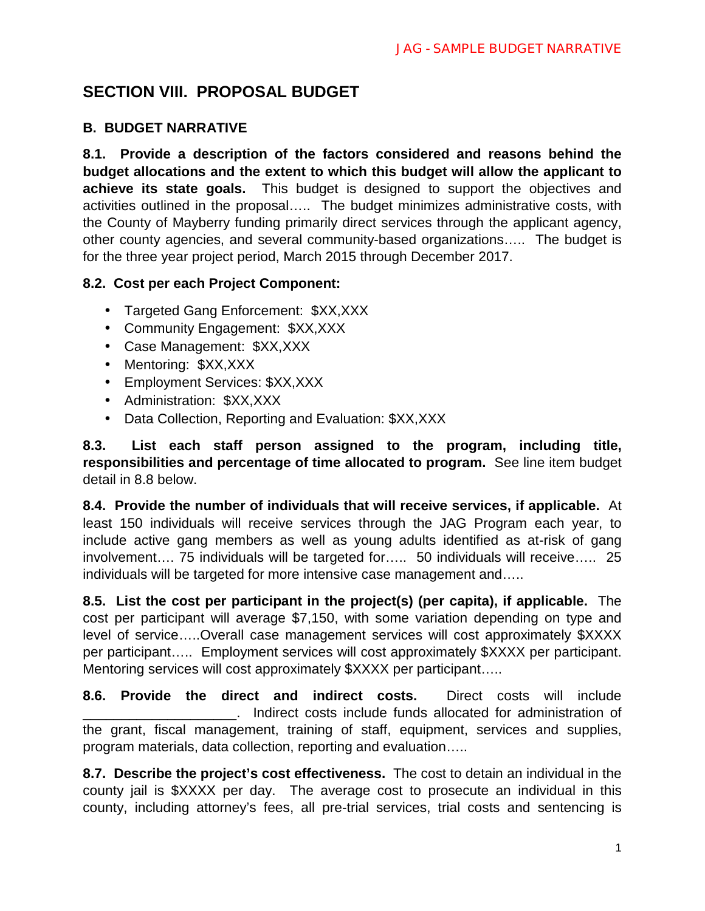# **SECTION VIII. PROPOSAL BUDGET**

## **B. BUDGET NARRATIVE**

**8.1. Provide a description of the factors considered and reasons behind the budget allocations and the extent to which this budget will allow the applicant to achieve its state goals.** This budget is designed to support the objectives and activities outlined in the proposal….. The budget minimizes administrative costs, with the County of Mayberry funding primarily direct services through the applicant agency, other county agencies, and several community-based organizations….. The budget is for the three year project period, March 2015 through December 2017.

#### **8.2. Cost per each Project Component:**

- Targeted Gang Enforcement: \$XX,XXX
- Community Engagement: \$XX,XXX
- Case Management: \$XX,XXX
- Mentoring: \$XX,XXX
- Employment Services: \$XX,XXX
- Administration: \$XX,XXX
- Data Collection, Reporting and Evaluation: \$XX,XXX  $\mathbf{r}^{\prime}$

**8.3. List each staff person assigned to the program, including title, responsibilities and percentage of time allocated to program.** See line item budget detail in 8.8 below.

**8.4. Provide the number of individuals that will receive services, if applicable.** At least 150 individuals will receive services through the JAG Program each year, to include active gang members as well as young adults identified as at-risk of gang involvement…. 75 individuals will be targeted for….. 50 individuals will receive….. 25 individuals will be targeted for more intensive case management and…..

**8.5. List the cost per participant in the project(s) (per capita), if applicable.** The cost per participant will average \$7,150, with some variation depending on type and level of service…..Overall case management services will cost approximately \$XXXX per participant….. Employment services will cost approximately \$XXXX per participant. Mentoring services will cost approximately \$XXXX per participant.....

**8.6. Provide the direct and indirect costs.** Direct costs will include Indirect costs include funds allocated for administration of the grant, fiscal management, training of staff, equipment, services and supplies, program materials, data collection, reporting and evaluation…..

**8.7. Describe the project's cost effectiveness.** The cost to detain an individual in the county jail is \$XXXX per day. The average cost to prosecute an individual in this county, including attorney's fees, all pre-trial services, trial costs and sentencing is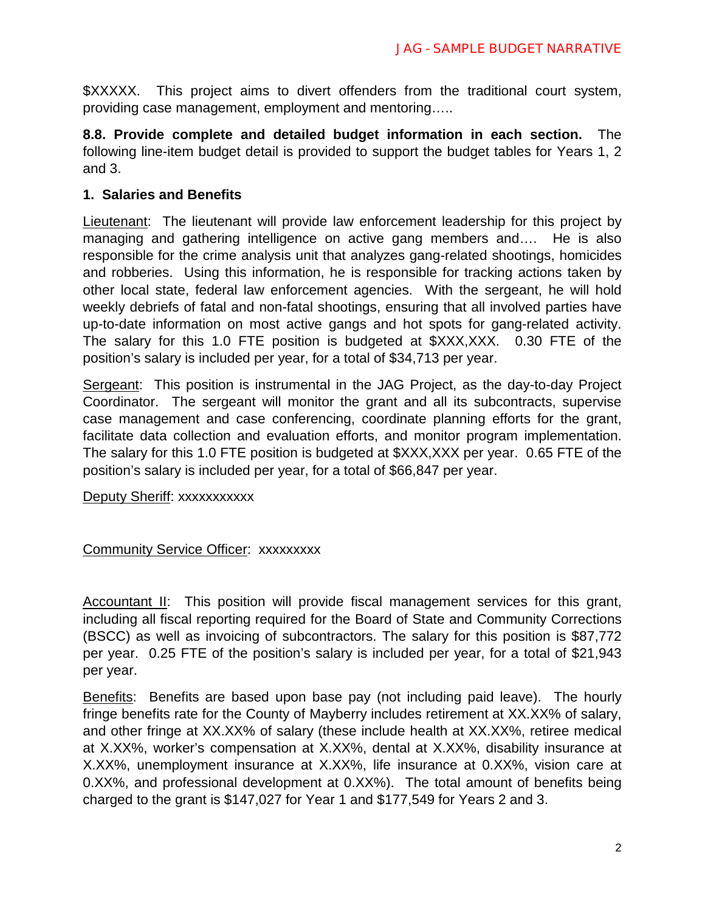\$XXXXX. This project aims to divert offenders from the traditional court system, providing case management, employment and mentoring…..

**8.8. Provide complete and detailed budget information in each section.** The following line-item budget detail is provided to support the budget tables for Years 1, 2 and 3.

#### **1. Salaries and Benefits**

Lieutenant: The lieutenant will provide law enforcement leadership for this project by managing and gathering intelligence on active gang members and…. He is also responsible for the crime analysis unit that analyzes gang-related shootings, homicides and robberies. Using this information, he is responsible for tracking actions taken by other local state, federal law enforcement agencies. With the sergeant, he will hold weekly debriefs of fatal and non-fatal shootings, ensuring that all involved parties have up-to-date information on most active gangs and hot spots for gang-related activity. The salary for this 1.0 FTE position is budgeted at \$XXX,XXX. 0.30 FTE of the position's salary is included per year, for a total of \$34,713 per year.

Sergeant: This position is instrumental in the JAG Project, as the day-to-day Project Coordinator. The sergeant will monitor the grant and all its subcontracts, supervise case management and case conferencing, coordinate planning efforts for the grant, facilitate data collection and evaluation efforts, and monitor program implementation. The salary for this 1.0 FTE position is budgeted at \$XXX,XXX per year. 0.65 FTE of the position's salary is included per year, for a total of \$66,847 per year.

Deputy Sheriff: xxxxxxxxxxx

#### Community Service Officer: xxxxxxxxx

Accountant II: This position will provide fiscal management services for this grant, including all fiscal reporting required for the Board of State and Community Corrections (BSCC) as well as invoicing of subcontractors. The salary for this position is \$87,772 per year. 0.25 FTE of the position's salary is included per year, for a total of \$21,943 per year.

Benefits: Benefits are based upon base pay (not including paid leave). The hourly fringe benefits rate for the County of Mayberry includes retirement at XX.XX% of salary, and other fringe at XX.XX% of salary (these include health at XX.XX%, retiree medical at X.XX%, worker's compensation at X.XX%, dental at X.XX%, disability insurance at X.XX%, unemployment insurance at X.XX%, life insurance at 0.XX%, vision care at 0.XX%, and professional development at 0.XX%). The total amount of benefits being charged to the grant is \$147,027 for Year 1 and \$177,549 for Years 2 and 3.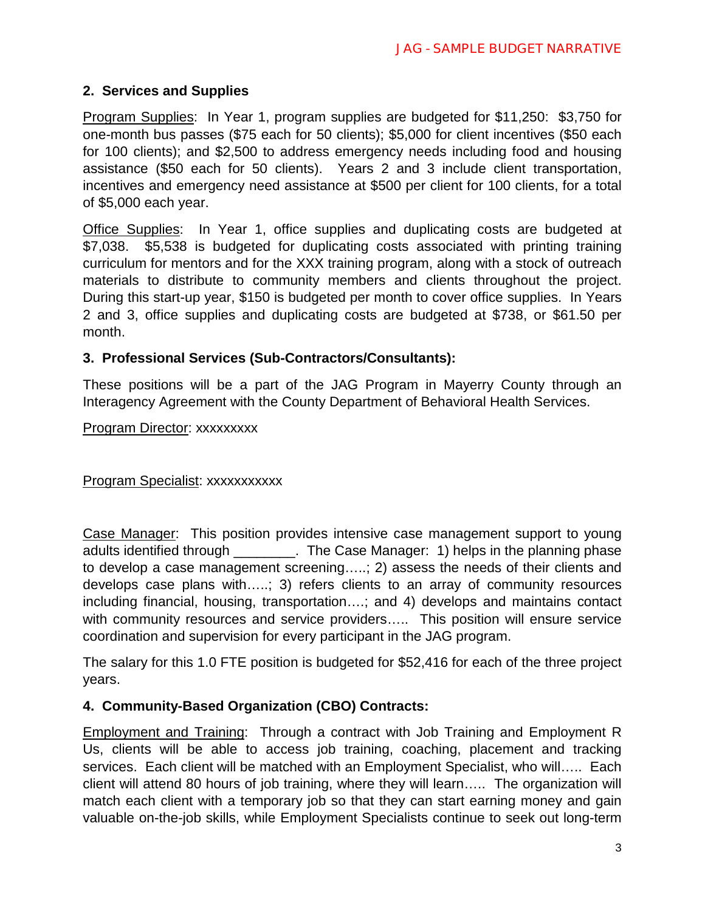## **2. Services and Supplies**

Program Supplies: In Year 1, program supplies are budgeted for \$11,250: \$3,750 for one-month bus passes (\$75 each for 50 clients); \$5,000 for client incentives (\$50 each for 100 clients); and \$2,500 to address emergency needs including food and housing assistance (\$50 each for 50 clients). Years 2 and 3 include client transportation, incentives and emergency need assistance at \$500 per client for 100 clients, for a total of \$5,000 each year.

Office Supplies: In Year 1, office supplies and duplicating costs are budgeted at \$7,038. \$5,538 is budgeted for duplicating costs associated with printing training curriculum for mentors and for the XXX training program, along with a stock of outreach materials to distribute to community members and clients throughout the project. During this start-up year, \$150 is budgeted per month to cover office supplies. In Years 2 and 3, office supplies and duplicating costs are budgeted at \$738, or \$61.50 per month.

## **3. Professional Services (Sub-Contractors/Consultants):**

These positions will be a part of the JAG Program in Mayerry County through an Interagency Agreement with the County Department of Behavioral Health Services.

#### Program Director: xxxxxxxxx

Program Specialist: xxxxxxxxxxx

Case Manager: This position provides intensive case management support to young adults identified through \_\_\_\_\_\_\_\_. The Case Manager: 1) helps in the planning phase to develop a case management screening…..; 2) assess the needs of their clients and develops case plans with…..; 3) refers clients to an array of community resources including financial, housing, transportation….; and 4) develops and maintains contact with community resources and service providers..... This position will ensure service coordination and supervision for every participant in the JAG program.

The salary for this 1.0 FTE position is budgeted for \$52,416 for each of the three project years.

## **4. Community-Based Organization (CBO) Contracts:**

Employment and Training: Through a contract with Job Training and Employment R Us, clients will be able to access job training, coaching, placement and tracking services. Each client will be matched with an Employment Specialist, who will….. Each client will attend 80 hours of job training, where they will learn….. The organization will match each client with a temporary job so that they can start earning money and gain valuable on-the-job skills, while Employment Specialists continue to seek out long-term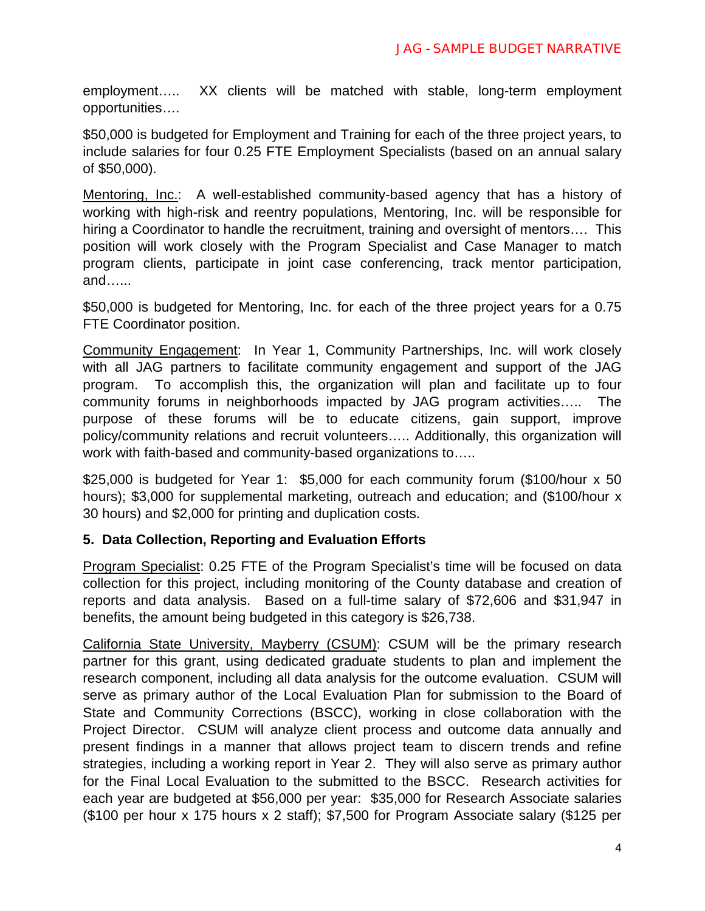employment….. XX clients will be matched with stable, long-term employment opportunities….

\$50,000 is budgeted for Employment and Training for each of the three project years, to include salaries for four 0.25 FTE Employment Specialists (based on an annual salary of \$50,000).

Mentoring, Inc.: A well-established community-based agency that has a history of working with high-risk and reentry populations, Mentoring, Inc. will be responsible for hiring a Coordinator to handle the recruitment, training and oversight of mentors…. This position will work closely with the Program Specialist and Case Manager to match program clients, participate in joint case conferencing, track mentor participation, and…...

\$50,000 is budgeted for Mentoring, Inc. for each of the three project years for a 0.75 FTE Coordinator position.

Community Engagement: In Year 1, Community Partnerships, Inc. will work closely with all JAG partners to facilitate community engagement and support of the JAG program. To accomplish this, the organization will plan and facilitate up to four community forums in neighborhoods impacted by JAG program activities….. The purpose of these forums will be to educate citizens, gain support, improve policy/community relations and recruit volunteers….. Additionally, this organization will work with faith-based and community-based organizations to…..

\$25,000 is budgeted for Year 1: \$5,000 for each community forum (\$100/hour x 50 hours); \$3,000 for supplemental marketing, outreach and education; and (\$100/hour x 30 hours) and \$2,000 for printing and duplication costs.

## **5. Data Collection, Reporting and Evaluation Efforts**

Program Specialist: 0.25 FTE of the Program Specialist's time will be focused on data collection for this project, including monitoring of the County database and creation of reports and data analysis. Based on a full-time salary of \$72,606 and \$31,947 in benefits, the amount being budgeted in this category is \$26,738.

California State University, Mayberry (CSUM): CSUM will be the primary research partner for this grant, using dedicated graduate students to plan and implement the research component, including all data analysis for the outcome evaluation. CSUM will serve as primary author of the Local Evaluation Plan for submission to the Board of State and Community Corrections (BSCC), working in close collaboration with the Project Director. CSUM will analyze client process and outcome data annually and present findings in a manner that allows project team to discern trends and refine strategies, including a working report in Year 2. They will also serve as primary author for the Final Local Evaluation to the submitted to the BSCC. Research activities for each year are budgeted at \$56,000 per year: \$35,000 for Research Associate salaries (\$100 per hour x 175 hours x 2 staff); \$7,500 for Program Associate salary (\$125 per